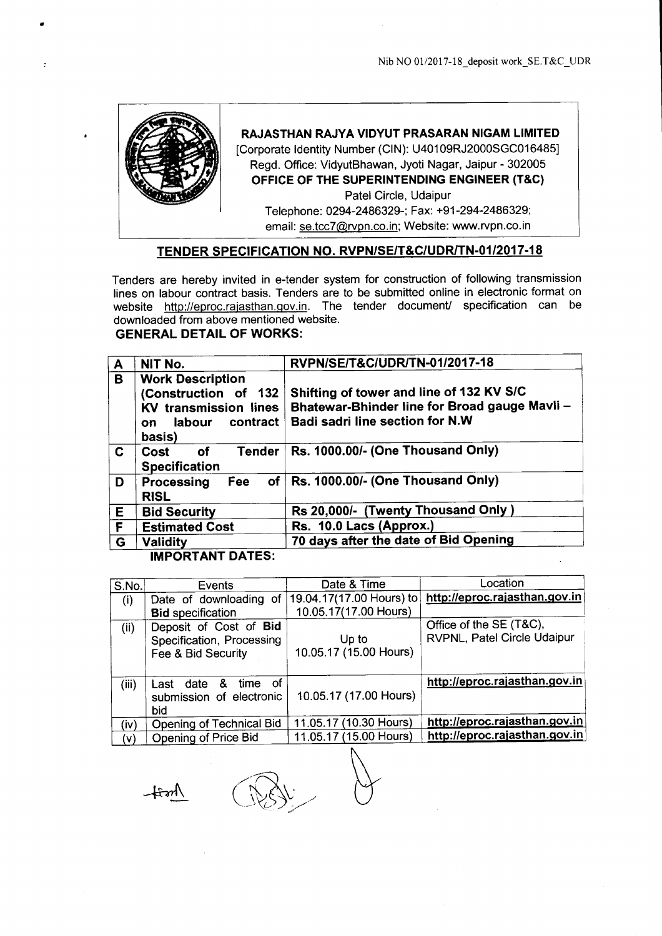

•

**RAJASTHAN RAJYA VIDYUT PRASARAN NIGAM LIMITED**

[Corporate Identity Number (CIN): U40109RJ2000SGC016485] Regd. Office: VidyutBhawan, Jyoti Nagar, Jaipur - 302005 **OFFICE OF THE SUPERINTENDING ENGINEER (T&C)** Patel Circle, Udaipur Telephone: 0294-2486329-; Fax: +91-294-2486329; email: se.tcc7@rvpn.co.in; Website: www.rvpn.co.in

## **TENDER SPECIFICATION NO. RVPN/SEIT&C/UDRlTN-01/2017-18**

Tenders are hereby invited in e-tender system for construction of following transmission lines on labour contract basis. Tenders are to be submitted online in electronic format on website http://eproc.rajasthan.gov.in. The tender document/ specification can be downloaded from above mentioned website.

# **GENERAL DETAIL OF WORKS:**

| A  | NIT No.                                                                                                                | RVPN/SE/T&C/UDR/TN-01/2017-18                                                                                                |  |
|----|------------------------------------------------------------------------------------------------------------------------|------------------------------------------------------------------------------------------------------------------------------|--|
| B  | <b>Work Description</b><br>(Construction of 132<br><b>KV transmission lines</b><br>contract<br>labour<br>on.<br>basis) | Shifting of tower and line of 132 KV S/C<br>Bhatewar-Bhinder line for Broad gauge Mavli -<br>Badi sadri line section for N.W |  |
| C  | <b>Tender</b><br>оf<br>Cost<br><b>Specification</b>                                                                    | Rs. 1000.00/- (One Thousand Only)                                                                                            |  |
| D  | Processing<br>Fee<br><b>RISL</b>                                                                                       | of   Rs. 1000.00/- (One Thousand Only)                                                                                       |  |
| E. | <b>Bid Security</b>                                                                                                    | Rs 20,000/- (Twenty Thousand Only)                                                                                           |  |
| F  | <b>Estimated Cost</b>                                                                                                  | Rs. 10.0 Lacs (Approx.)                                                                                                      |  |
| G  | <b>Validity</b>                                                                                                        | 70 days after the date of Bid Opening                                                                                        |  |

**IMPORTANT DATES:**

| S.No. | Events                                                                    | Date & Time                     | Location                                               |
|-------|---------------------------------------------------------------------------|---------------------------------|--------------------------------------------------------|
| (i)   | Date of downloading of                                                    | 19.04.17(17.00 Hours) to        | http://eproc.rajasthan.gov.in                          |
|       | <b>Bid specification</b>                                                  | 10.05.17(17.00 Hours)           |                                                        |
| (ii)  | Deposit of Cost of Bid<br>Specification, Processing<br>Fee & Bid Security | Up to<br>10.05.17 (15.00 Hours) | Office of the SE (T&C),<br>RVPNL, Patel Circle Udaipur |
| (iii) | Last date & time of<br>submission of electronic<br>bid                    | 10.05.17 (17.00 Hours)          | http://eproc.rajasthan.gov.in                          |
| (iv)  | Opening of Technical Bid                                                  | 11.05.17 (10.30 Hours)          | http://eproc.rajasthan.gov.in                          |
| (v)   | Opening of Price Bid                                                      | 11.05.17 (15.00 Hours)          | http://eproc.rajasthan.gov.in                          |

 $\mathcal{A}$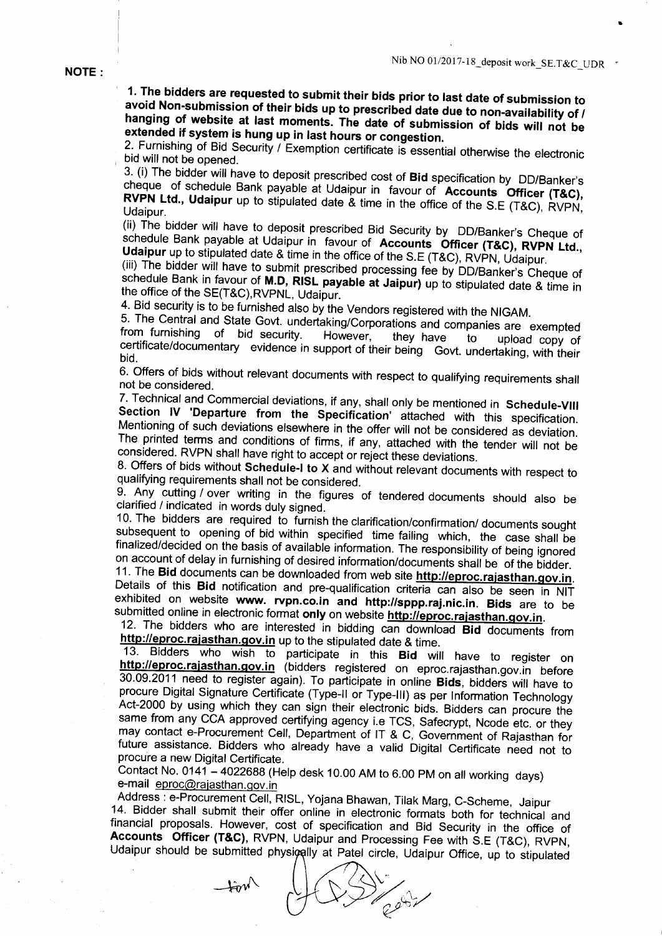•

NOTE:

1. The bidders are requested to submit their bids prior to last date of submission to avoid Non-submission of their bids up to prescribed date due to non-availability of *I* hanging of website at last moments. The date of submission of bids will not be extended if system is hung up in last hours or congestion.

2. Furnishing of Bid Security / Exemption certificate is essential otherwise the electronic bid will not be opened.

3. (i) The bidder will have to deposit prescribed cost of Bid specification by DO/Banker's cheque of schedule Bank payable at Udaipur in favour of Accounts Officer (T&C), RVPN Ltd., Udaipur up to stipulated date & time in the office of the S.E (T&C), RVPN, Udaipur.

(ii) The bidder will have to deposit prescribed Bid Security by DO/Banker's Cheque of schedule Bank payable at Udaipur in favour of Accounts Officer (T&C), RVPN Ltd., Udaipur up to stipulated date & time in the office of the S.E (T&C), RVPN, Udaipur.

(iii) The bidder will have to submit prescribed processing fee by DO/Banker's Cheque of schedule Bank in favour of M.D, RISL payable at Jaipur) up to stipulated date & time in the office of the SE(T&C),RVPNL, Udaipur.

4. Bid security is to be furnished also by the Vendors registered with the NIGAM.

5. The Central and State Govt. undertaking/Corporations and companies are exempted from furnishing of bid security. However, they have to unload copy of from furnishing of bid security. However, they have to upload copy of certificate/documentary evidence in support of their being Govt. undertaking, with their bid.

6. Offers of bids without relevant documents with respect to qualifying requirements shall not be considered.

7. Technical and Commercial deviations, if any, shall only be mentioned in Schedule-VIII Section IV 'Departure from the Specification' attached with this specification. Mentioning of such deviations elsewhere in the offer will not be considered as deviation. The printed terms and conditions of firms, if any, attached with the tender will not be considered. RVPN shall have right to accept or reject these deviations.

8. Offers of bids without Schedule-I to X and without relevant documents with respect to qualifying requirements shall not be considered.

9. Any cutting / over writing in the figures of tendered documents should also be clarified / indicated in words duly signed.

10. The bidders are required to furnish the clarification/confirmation/ documents sought subsequent to opening of bid within specified time failing which, the case shall be finalized/decided on the basis of available information. The responsibility of being ignored on account of delay in furnishing of desired information/documents shall be of the bidder.

11. The Bid documents can be downloaded from web site http://eproc.rajasthan.gov.in. Details of this Bid notification and pre-qualification criteria can also be seen in NIT exhibited on website www. rvpn.co.in and http://sppp.raj.nic.in. Bids are to be submitted online in electronic format only on website http://eproc.rajasthan.gov.in.

12. The bidders who are interested in bidding can download Bid documents from http://eproc.rajasthan.gov.in up to the stipulated date & time.

13. Bidders who wish to participate in this Bid will have to register on http://eproc.rajasthan.gov.in (bidders registered on eproc.rajasthan.gov.in before 30.09.2011 need to register again). To participate in online Bids, bidders will have to procure Digital Signature Certificate (Type-II or Type-III) as per Information Technology Act-2000 by using which they can sign their electronic bids. Bidders can procure the same from any CCA approved certifying agency i.e TCS, Safecrypt, Ncode etc. or they may contact e-Procurement Cell, Department of IT & C, Government of Rajasthan for future assistance. Bidders who already have a valid Digital Certificate need not to procure a new Digital Certificate.

Contact No. 0141 - 4022688 (Help desk 10.00 AM to 6.00 PM on all working days) e-mail eproc@rajasthan.gov.in

Address: e-Procurement Cell, RISL, Yojana Bhawan, Tilak Marg, C-Scheme, Jaipur 14. Bidder shall submit their offer online in electronic formats both for technical and financial proposals. However, cost of specification and Bid Security in the office of Accounts Officer (T&C), RVPN, Udaipur and Processing Fee with S.E (T&C), RVPN, Udaipur should be submitted physically at Patel circle, Udaipur Office, up to stipulated

 $+ \hat{v}$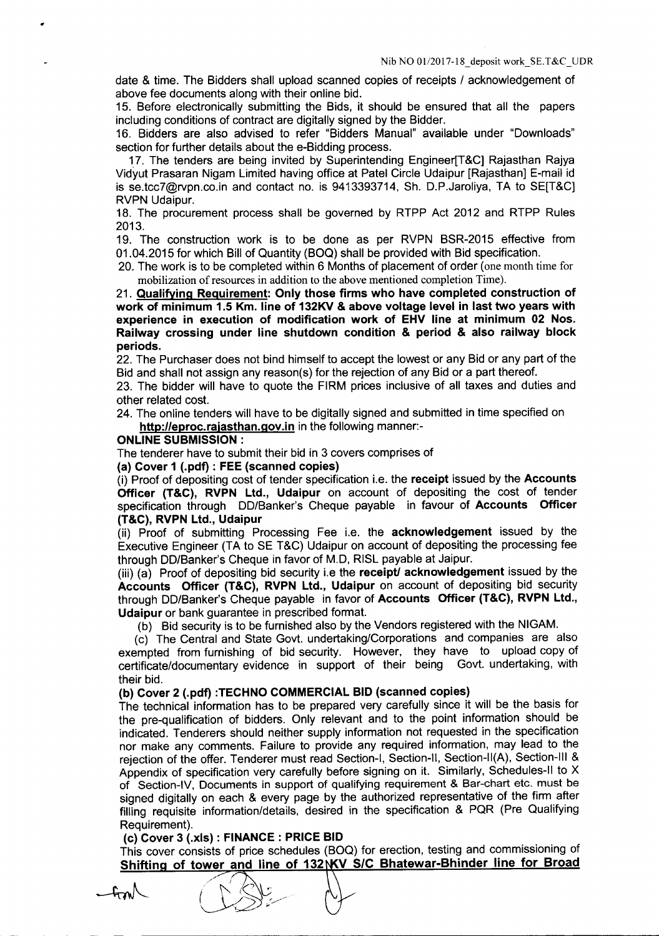date & time. The Bidders shall upload scanned copies of receipts / acknowledgement of above fee documents along with their online bid.

15. Before electronically submitting the Bids, it should be ensured that all the papers including conditions of contract are digitally signed by the Bidder.

16. Bidders are also advised to refer "Bidders Manual" available under "Downloads" section for further details about the e-Bidding process.

17. The tenders are being invited by Superintending Engineer[T&C] Rajasthan Rajya Vidyut Prasaran Nigam Limited having office at Patel Circle Udaipur [Rajasthan] E-mail id is se.tcc7@rvpn.co.in and contact no. is 9413393714, Sh. D.P.Jaroliya, TA to SE[T&C] RVPN Udaipur.

18. The procurement process shall be governed by RTPP Act 2012 and RTPP Rules 2013.

19. The construction work is to be done as per RVPN BSR-2015 effective from 01.04.2015 for which Bill of Quantity (BOQ) shall be provided with Bid specification.

20. The work is to be completed within 6 Months of placement of order (one month time for mobilization of resources in addition to the above mentioned completion Time).

21. Qualifying Requirement: Only those firms who have completed construction of work of minimum 1.5 Km. line of 132KV & above voltage level in last two years with experience in execution of modification work of EHV line at minimum 02 Nos. Railway crossing under line shutdown condition & period & also railway block periods.

22. The Purchaser does not bind himself to accept the lowest or any Bid or any part of the Bid and shall not assign any reason(s) for the rejection of any Bid or a part thereof.

23. The bidder will have to quote the FIRM prices inclusive of all taxes and duties and other related cost.

24. The online tenders will have to be digitally signed and submitted in time specified on http://eproc.rajasthan.gov.in in the following manner:-

#### ONLINE SUBMISSION:

The tenderer have to submit their bid in 3 covers comprises of

(a) Cover 1 (.pdf) : FEE (scanned copies)

(i) Proof of depositing cost of tender specification i.e. the receipt issued by the Accounts Officer (T&C), RVPN Ltd., Udaipur on account of depositing the cost of tender specification through DO/Banker's Cheque payable in favour of Accounts Officer (T&C), RVPN Ltd., Udaipur

(ii) Proof of submitting Processing Fee i.e. the acknowledgement issued by the Executive Engineer (TA to SE T&C) Udaipur on account of depositing the processing fee through DO/Banker's Cheque in favor of M.D, RISL payable at Jaipur.

(iii) (a) Proof of depositing bid security i.e the receipt/ acknowledgement issued by the Accounts Officer (T&C), RVPN Ltd., Udaipur on account of depositing bid security through DO/Banker's Cheque payable in favor of Accounts Officer (T&C), RVPN Ltd., Udaipur or bank guarantee in prescribed format.

(b) Bid security is to be furnished also by the Vendors registered with the NIGAM.

(c) The Central and State Govt. undertaking/Corporations and companies are also exempted from furnishing of bid security. However, they have to upload copy of certificate/documentary evidence in support of their being Govt. undertaking, with their bid.

## (b) Cover 2 (.pdf) :TECHNO COMMERCIAL BID (scanned copies)

The technical information has to be prepared very carefully since it will be the basis for the pre-qualification of bidders. Only relevant and to the point information should be indicated. Tenderers should neither supply information not requested in the specification nor make any comments. Failure to provide any required information, may lead to the rejection of the offer. Tenderer must read Section-I, Section-II, Section-II(A), Section-III & Appendix of specification very carefully before signing on it. Similarly, Schedules-II to X of Section-IV, Documents in support of qualifying requirement & Bar-chart etc. must be signed digitally on each & every page by the authorized representative of the firm after filling requisite information/details, desired in the specification & PQR (Pre Qualifying Requirement).

## (c) Cover 3 (.xls): FINANCE: PRICE BID

 $\mathcal{A}_{\text{trm}}$ 

This cover consists of price schedules (BOQ) for erection, testing and commissioning of Shifting of tower and line of 132 WV S/C Bhatewar-Bhinder line for Broad